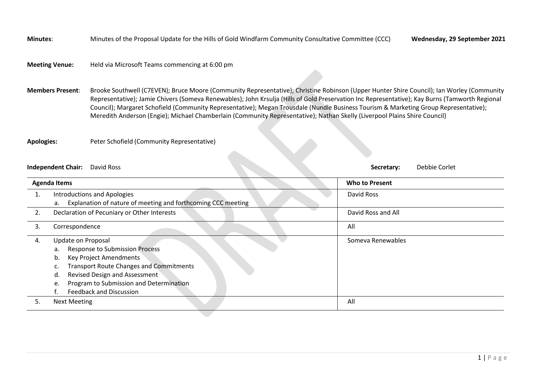**Minutes**: Minutes of the Proposal Update for the Hills of Gold Windfarm Community Consultative Committee (CCC) **Wednesday, 29 September 2021**

## **Meeting Venue:** Held via Microsoft Teams commencing at 6:00 pm

**Members Present**: Brooke Southwell (C7EVEN); Bruce Moore (Community Representative); Christine Robinson (Upper Hunter Shire Council); Ian Worley (Community Representative); Jamie Chivers (Someva Renewables); John Krsulja (Hills of Gold Preservation Inc Representative); Kay Burns (Tamworth Regional Council); Margaret Schofield (Community Representative); Megan Trousdale (Nundle Business Tourism & Marketing Group Representative); Meredith Anderson (Engie); Michael Chamberlain (Community Representative); Nathan Skelly (Liverpool Plains Shire Council)

**Apologies:** Peter Schofield (Community Representative)

## **Independent Chair:** David Ross **Secretary:** Debbie Corlet

|    | <b>Agenda Items</b>                                                | <b>Who to Present</b> |
|----|--------------------------------------------------------------------|-----------------------|
|    | <b>Introductions and Apologies</b>                                 | David Ross            |
|    | Explanation of nature of meeting and forthcoming CCC meeting<br>а. |                       |
| 2. | Declaration of Pecuniary or Other Interests                        | David Ross and All    |
| 3. | Correspondence                                                     | All                   |
| 4. | Update on Proposal                                                 | Someva Renewables     |
|    | <b>Response to Submission Process</b><br>a.                        |                       |
|    | Key Project Amendments<br>b.                                       |                       |
|    | <b>Transport Route Changes and Commitments</b>                     |                       |
|    | Revised Design and Assessment<br>d.                                |                       |
|    | Program to Submission and Determination<br>e.                      |                       |
|    | <b>Feedback and Discussion</b>                                     |                       |
| 5. | <b>Next Meeting</b>                                                | All                   |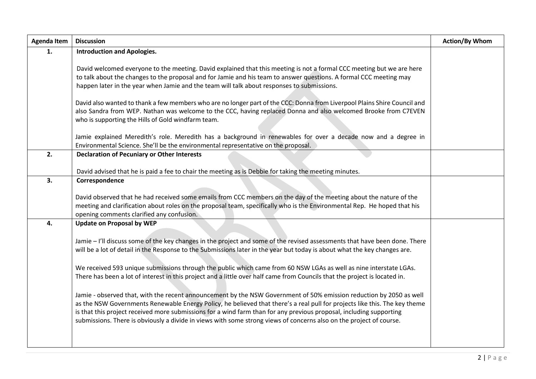| <b>Agenda Item</b> | <b>Discussion</b>                                                                                                                                                                                                                                                                                                                                                                                                                                                                               | <b>Action/By Whom</b> |
|--------------------|-------------------------------------------------------------------------------------------------------------------------------------------------------------------------------------------------------------------------------------------------------------------------------------------------------------------------------------------------------------------------------------------------------------------------------------------------------------------------------------------------|-----------------------|
| 1.                 | <b>Introduction and Apologies.</b>                                                                                                                                                                                                                                                                                                                                                                                                                                                              |                       |
|                    | David welcomed everyone to the meeting. David explained that this meeting is not a formal CCC meeting but we are here<br>to talk about the changes to the proposal and for Jamie and his team to answer questions. A formal CCC meeting may<br>happen later in the year when Jamie and the team will talk about responses to submissions.                                                                                                                                                       |                       |
|                    | David also wanted to thank a few members who are no longer part of the CCC: Donna from Liverpool Plains Shire Council and<br>also Sandra from WEP. Nathan was welcome to the CCC, having replaced Donna and also welcomed Brooke from C7EVEN<br>who is supporting the Hills of Gold windfarm team.                                                                                                                                                                                              |                       |
|                    | Jamie explained Meredith's role. Meredith has a background in renewables for over a decade now and a degree in<br>Environmental Science. She'll be the environmental representative on the proposal.                                                                                                                                                                                                                                                                                            |                       |
| 2.                 | <b>Declaration of Pecuniary or Other Interests</b><br>David advised that he is paid a fee to chair the meeting as is Debbie for taking the meeting minutes.                                                                                                                                                                                                                                                                                                                                     |                       |
| 3.                 | Correspondence                                                                                                                                                                                                                                                                                                                                                                                                                                                                                  |                       |
|                    | David observed that he had received some emails from CCC members on the day of the meeting about the nature of the<br>meeting and clarification about roles on the proposal team, specifically who is the Environmental Rep. He hoped that his<br>opening comments clarified any confusion.                                                                                                                                                                                                     |                       |
| 4.                 | <b>Update on Proposal by WEP</b>                                                                                                                                                                                                                                                                                                                                                                                                                                                                |                       |
|                    | Jamie - I'll discuss some of the key changes in the project and some of the revised assessments that have been done. There<br>will be a lot of detail in the Response to the Submissions later in the year but today is about what the key changes are.                                                                                                                                                                                                                                         |                       |
|                    | We received 593 unique submissions through the public which came from 60 NSW LGAs as well as nine interstate LGAs.<br>There has been a lot of interest in this project and a little over half came from Councils that the project is located in.                                                                                                                                                                                                                                                |                       |
|                    | Jamie - observed that, with the recent announcement by the NSW Government of 50% emission reduction by 2050 as well<br>as the NSW Governments Renewable Energy Policy, he believed that there's a real pull for projects like this. The key theme<br>is that this project received more submissions for a wind farm than for any previous proposal, including supporting<br>submissions. There is obviously a divide in views with some strong views of concerns also on the project of course. |                       |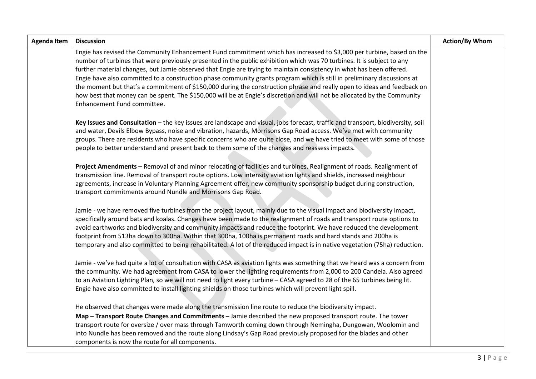| <b>Agenda Item</b> | <b>Discussion</b>                                                                                                                                                                                                                                                                                                                                                                                                                                                                                                                                                                                                                                                                                                                                                                       | <b>Action/By Whom</b> |
|--------------------|-----------------------------------------------------------------------------------------------------------------------------------------------------------------------------------------------------------------------------------------------------------------------------------------------------------------------------------------------------------------------------------------------------------------------------------------------------------------------------------------------------------------------------------------------------------------------------------------------------------------------------------------------------------------------------------------------------------------------------------------------------------------------------------------|-----------------------|
|                    | Engie has revised the Community Enhancement Fund commitment which has increased to \$3,000 per turbine, based on the<br>number of turbines that were previously presented in the public exhibition which was 70 turbines. It is subject to any<br>further material changes, but Jamie observed that Engie are trying to maintain consistency in what has been offered.<br>Engie have also committed to a construction phase community grants program which is still in preliminary discussions at<br>the moment but that's a commitment of \$150,000 during the construction phrase and really open to ideas and feedback on<br>how best that money can be spent. The \$150,000 will be at Engie's discretion and will not be allocated by the Community<br>Enhancement Fund committee. |                       |
|                    | Key Issues and Consultation - the key issues are landscape and visual, jobs forecast, traffic and transport, biodiversity, soil<br>and water, Devils Elbow Bypass, noise and vibration, hazards, Morrisons Gap Road access. We've met with community<br>groups. There are residents who have specific concerns who are quite close, and we have tried to meet with some of those<br>people to better understand and present back to them some of the changes and reassess impacts.                                                                                                                                                                                                                                                                                                      |                       |
|                    | Project Amendments - Removal of and minor relocating of facilities and turbines. Realignment of roads. Realignment of<br>transmission line. Removal of transport route options. Low intensity aviation lights and shields, increased neighbour<br>agreements, increase in Voluntary Planning Agreement offer, new community sponsorship budget during construction,<br>transport commitments around Nundle and Morrisons Gap Road.                                                                                                                                                                                                                                                                                                                                                      |                       |
|                    | Jamie - we have removed five turbines from the project layout, mainly due to the visual impact and biodiversity impact,<br>specifically around bats and koalas. Changes have been made to the realignment of roads and transport route options to<br>avoid earthworks and biodiversity and community impacts and reduce the footprint. We have reduced the development<br>footprint from 513ha down to 300ha. Within that 300ha, 100ha is permanent roads and hard stands and 200ha is<br>temporary and also committed to being rehabilitated. A lot of the reduced impact is in native vegetation (75ha) reduction.                                                                                                                                                                    |                       |
|                    | Jamie - we've had quite a lot of consultation with CASA as aviation lights was something that we heard was a concern from<br>the community. We had agreement from CASA to lower the lighting requirements from 2,000 to 200 Candela. Also agreed<br>to an Aviation Lighting Plan, so we will not need to light every turbine - CASA agreed to 28 of the 65 turbines being lit.<br>Engie have also committed to install lighting shields on those turbines which will prevent light spill.                                                                                                                                                                                                                                                                                               |                       |
|                    | He observed that changes were made along the transmission line route to reduce the biodiversity impact.<br>Map - Transport Route Changes and Commitments - Jamie described the new proposed transport route. The tower<br>transport route for oversize / over mass through Tamworth coming down through Nemingha, Dungowan, Woolomin and<br>into Nundle has been removed and the route along Lindsay's Gap Road previously proposed for the blades and other<br>components is now the route for all components.                                                                                                                                                                                                                                                                         |                       |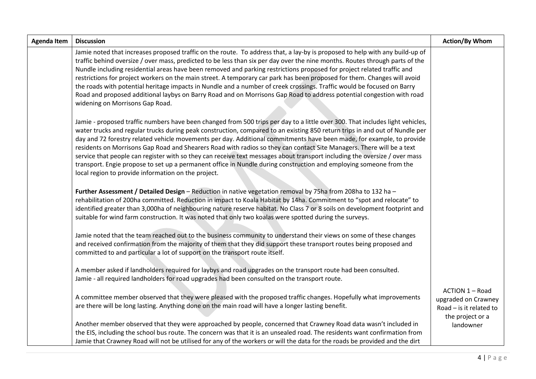| <b>Agenda Item</b> | <b>Discussion</b>                                                                                                                                                                                                                                                                                                                                                                                                                                                                                                                                                                                                                                                                                                                                                                                                         | <b>Action/By Whom</b>                                                                   |
|--------------------|---------------------------------------------------------------------------------------------------------------------------------------------------------------------------------------------------------------------------------------------------------------------------------------------------------------------------------------------------------------------------------------------------------------------------------------------------------------------------------------------------------------------------------------------------------------------------------------------------------------------------------------------------------------------------------------------------------------------------------------------------------------------------------------------------------------------------|-----------------------------------------------------------------------------------------|
|                    | Jamie noted that increases proposed traffic on the route. To address that, a lay-by is proposed to help with any build-up of<br>traffic behind oversize / over mass, predicted to be less than six per day over the nine months. Routes through parts of the<br>Nundle including residential areas have been removed and parking restrictions proposed for project related traffic and<br>restrictions for project workers on the main street. A temporary car park has been proposed for them. Changes will avoid<br>the roads with potential heritage impacts in Nundle and a number of creek crossings. Traffic would be focused on Barry<br>Road and proposed additional laybys on Barry Road and on Morrisons Gap Road to address potential congestion with road<br>widening on Morrisons Gap Road.                  |                                                                                         |
|                    | Jamie - proposed traffic numbers have been changed from 500 trips per day to a little over 300. That includes light vehicles,<br>water trucks and regular trucks during peak construction, compared to an existing 850 return trips in and out of Nundle per<br>day and 72 forestry related vehicle movements per day. Additional commitments have been made, for example, to provide<br>residents on Morrisons Gap Road and Shearers Road with radios so they can contact Site Managers. There will be a text<br>service that people can register with so they can receive text messages about transport including the oversize / over mass<br>transport. Engie propose to set up a permanent office in Nundle during construction and employing someone from the<br>local region to provide information on the project. |                                                                                         |
|                    | Further Assessment / Detailed Design - Reduction in native vegetation removal by 75ha from 208ha to 132 ha -<br>rehabilitation of 200ha committed. Reduction in impact to Koala Habitat by 14ha. Commitment to "spot and relocate" to<br>identified greater than 3,000ha of neighbouring nature reserve habitat. No Class 7 or 8 soils on development footprint and<br>suitable for wind farm construction. It was noted that only two koalas were spotted during the surveys.                                                                                                                                                                                                                                                                                                                                            |                                                                                         |
|                    | Jamie noted that the team reached out to the business community to understand their views on some of these changes<br>and received confirmation from the majority of them that they did support these transport routes being proposed and<br>committed to and particular a lot of support on the transport route itself.                                                                                                                                                                                                                                                                                                                                                                                                                                                                                                  |                                                                                         |
|                    | A member asked if landholders required for laybys and road upgrades on the transport route had been consulted.<br>Jamie - all required landholders for road upgrades had been consulted on the transport route.                                                                                                                                                                                                                                                                                                                                                                                                                                                                                                                                                                                                           |                                                                                         |
|                    | A committee member observed that they were pleased with the proposed traffic changes. Hopefully what improvements<br>are there will be long lasting. Anything done on the main road will have a longer lasting benefit.                                                                                                                                                                                                                                                                                                                                                                                                                                                                                                                                                                                                   | ACTION 1 - Road<br>upgraded on Crawney<br>Road $-$ is it related to<br>the project or a |
|                    | Another member observed that they were approached by people, concerned that Crawney Road data wasn't included in<br>the EIS, including the school bus route. The concern was that it is an unsealed road. The residents want confirmation from<br>Jamie that Crawney Road will not be utilised for any of the workers or will the data for the roads be provided and the dirt                                                                                                                                                                                                                                                                                                                                                                                                                                             | landowner                                                                               |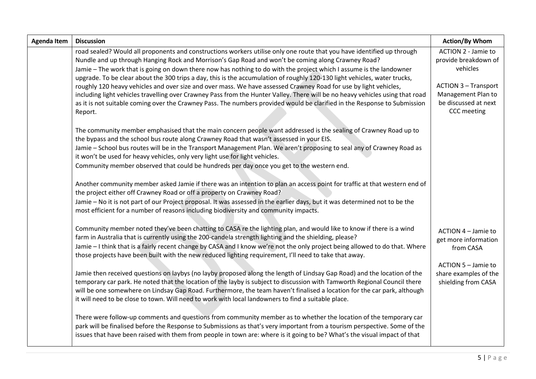| <b>Agenda Item</b> | <b>Discussion</b>                                                                                                                                                                                                                                                                                                                                                                                                                                                                                                   | <b>Action/By Whom</b>                                                                    |
|--------------------|---------------------------------------------------------------------------------------------------------------------------------------------------------------------------------------------------------------------------------------------------------------------------------------------------------------------------------------------------------------------------------------------------------------------------------------------------------------------------------------------------------------------|------------------------------------------------------------------------------------------|
|                    | road sealed? Would all proponents and constructions workers utilise only one route that you have identified up through<br>Nundle and up through Hanging Rock and Morrison's Gap Road and won't be coming along Crawney Road?<br>Jamie - The work that is going on down there now has nothing to do with the project which I assume is the landowner<br>upgrade. To be clear about the 300 trips a day, this is the accumulation of roughly 120-130 light vehicles, water trucks,                                    | ACTION 2 - Jamie to<br>provide breakdown of<br>vehicles                                  |
|                    | roughly 120 heavy vehicles and over size and over mass. We have assessed Crawney Road for use by light vehicles,<br>including light vehicles travelling over Crawney Pass from the Hunter Valley. There will be no heavy vehicles using that road<br>as it is not suitable coming over the Crawney Pass. The numbers provided would be clarified in the Response to Submission<br>Report.                                                                                                                           | <b>ACTION 3 - Transport</b><br>Management Plan to<br>be discussed at next<br>CCC meeting |
|                    | The community member emphasised that the main concern people want addressed is the sealing of Crawney Road up to<br>the bypass and the school bus route along Crawney Road that wasn't assessed in your EIS.<br>Jamie - School bus routes will be in the Transport Management Plan. We aren't proposing to seal any of Crawney Road as<br>it won't be used for heavy vehicles, only very light use for light vehicles.<br>Community member observed that could be hundreds per day once you get to the western end. |                                                                                          |
|                    | Another community member asked Jamie if there was an intention to plan an access point for traffic at that western end of<br>the project either off Crawney Road or off a property on Crawney Road?<br>Jamie - No it is not part of our Project proposal. It was assessed in the earlier days, but it was determined not to be the<br>most efficient for a number of reasons including biodiversity and community impacts.                                                                                          |                                                                                          |
|                    | Community member noted they've been chatting to CASA re the lighting plan, and would like to know if there is a wind<br>farm in Australia that is currently using the 200-candela strength lighting and the shielding, please?<br>Jamie - I think that is a fairly recent change by CASA and I know we're not the only project being allowed to do that. Where<br>those projects have been built with the new reduced lighting requirement, I'll need to take that away.                                            | ACTION 4 - Jamie to<br>get more information<br>from CASA                                 |
|                    | Jamie then received questions on laybys (no layby proposed along the length of Lindsay Gap Road) and the location of the<br>temporary car park. He noted that the location of the layby is subject to discussion with Tamworth Regional Council there<br>will be one somewhere on Lindsay Gap Road. Furthermore, the team haven't finalised a location for the car park, although<br>it will need to be close to town. Will need to work with local landowners to find a suitable place.                            | ACTION 5 - Jamie to<br>share examples of the<br>shielding from CASA                      |
|                    | There were follow-up comments and questions from community member as to whether the location of the temporary car<br>park will be finalised before the Response to Submissions as that's very important from a tourism perspective. Some of the<br>issues that have been raised with them from people in town are: where is it going to be? What's the visual impact of that                                                                                                                                        |                                                                                          |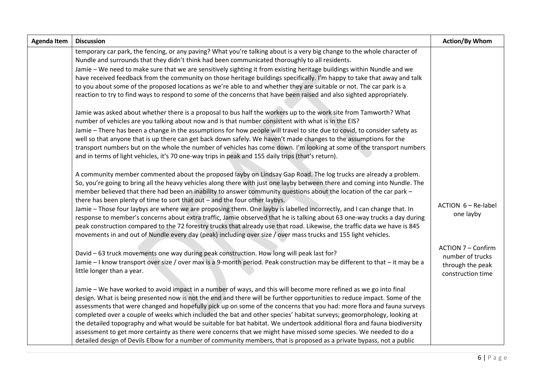| <b>Agenda Item</b> | <b>Discussion</b>                                                                                                                                                                                                                                                                                                                                                                                                                                                                                                                                                                                                                                                                                                                                                                                                                                                                                                                                            | <b>Action/By Whom</b>                                                                  |
|--------------------|--------------------------------------------------------------------------------------------------------------------------------------------------------------------------------------------------------------------------------------------------------------------------------------------------------------------------------------------------------------------------------------------------------------------------------------------------------------------------------------------------------------------------------------------------------------------------------------------------------------------------------------------------------------------------------------------------------------------------------------------------------------------------------------------------------------------------------------------------------------------------------------------------------------------------------------------------------------|----------------------------------------------------------------------------------------|
|                    | temporary car park, the fencing, or any paving? What you're talking about is a very big change to the whole character of<br>Nundle and surrounds that they didn't think had been communicated thoroughly to all residents.<br>Jamie - We need to make sure that we are sensitively sighting it from existing heritage buildings within Nundle and we<br>have received feedback from the community on those heritage buildings specifically. I'm happy to take that away and talk<br>to you about some of the proposed locations as we're able to and whether they are suitable or not. The car park is a<br>reaction to try to find ways to respond to some of the concerns that have been raised and also sighted appropriately.                                                                                                                                                                                                                            |                                                                                        |
|                    | Jamie was asked about whether there is a proposal to bus half the workers up to the work site from Tamworth? What<br>number of vehicles are you talking about now and is that number consistent with what is in the EIS?<br>Jamie - There has been a change in the assumptions for how people will travel to site due to covid, to consider safety as<br>well so that anyone that is up there can get back down safely. We haven't made changes to the assumptions for the<br>transport numbers but on the whole the number of vehicles has come down. I'm looking at some of the transport numbers<br>and in terms of light vehicles, it's 70 one-way trips in peak and 155 daily trips (that's return).                                                                                                                                                                                                                                                    |                                                                                        |
|                    | A community member commented about the proposed layby on Lindsay Gap Road. The log trucks are already a problem.<br>So, you're going to bring all the heavy vehicles along there with just one layby between there and coming into Nundle. The<br>member believed that there had been an inability to answer community questions about the location of the car park -<br>there has been plenty of time to sort that out - and the four other laybys.<br>Jamie - Those four laybys are where we are proposing them. One layby is labelled incorrectly, and I can change that. In<br>response to member's concerns about extra traffic, Jamie observed that he is talking about 63 one-way trucks a day during<br>peak construction compared to the 72 forestry trucks that already use that road. Likewise, the traffic data we have is 845<br>movements in and out of Nundle every day (peak) including over size / over mass trucks and 155 light vehicles. | ACTION 6 - Re-label<br>one layby                                                       |
|                    | David - 63 truck movements one way during peak construction. How long will peak last for?<br>Jamie - I know transport over size / over max is a 9-month period. Peak construction may be different to that - it may be a<br>little longer than a year.                                                                                                                                                                                                                                                                                                                                                                                                                                                                                                                                                                                                                                                                                                       | <b>ACTION 7 - Confirm</b><br>number of trucks<br>through the peak<br>construction time |
|                    | Jamie – We have worked to avoid impact in a number of ways, and this will become more refined as we go into final<br>design. What is being presented now is not the end and there will be further opportunities to reduce impact. Some of the<br>assessments that were changed and hopefully pick up on some of the concerns that you had: more flora and fauna surveys<br>completed over a couple of weeks which included the bat and other species' habitat surveys; geomorphology, looking at<br>the detailed topography and what would be suitable for bat habitat. We undertook additional flora and fauna biodiversity<br>assessment to get more certainty as there were concerns that we might have missed some species. We needed to do a<br>detailed design of Devils Elbow for a number of community members, that is proposed as a private bypass, not a public                                                                                   |                                                                                        |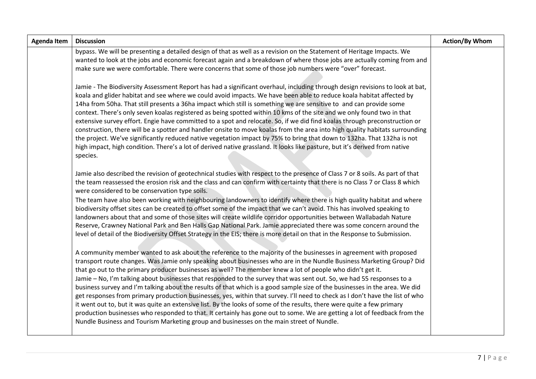| <b>Agenda Item</b> | <b>Discussion</b>                                                                                                                                                                                                                                                                                                                                                                                                                                                                                                                                                                                                                                                                                                                                                                                                                                                                                                                                                                                                                                                                                     | <b>Action/By Whom</b> |
|--------------------|-------------------------------------------------------------------------------------------------------------------------------------------------------------------------------------------------------------------------------------------------------------------------------------------------------------------------------------------------------------------------------------------------------------------------------------------------------------------------------------------------------------------------------------------------------------------------------------------------------------------------------------------------------------------------------------------------------------------------------------------------------------------------------------------------------------------------------------------------------------------------------------------------------------------------------------------------------------------------------------------------------------------------------------------------------------------------------------------------------|-----------------------|
|                    | bypass. We will be presenting a detailed design of that as well as a revision on the Statement of Heritage Impacts. We<br>wanted to look at the jobs and economic forecast again and a breakdown of where those jobs are actually coming from and<br>make sure we were comfortable. There were concerns that some of those job numbers were "over" forecast.                                                                                                                                                                                                                                                                                                                                                                                                                                                                                                                                                                                                                                                                                                                                          |                       |
|                    | Jamie - The Biodiversity Assessment Report has had a significant overhaul, including through design revisions to look at bat,<br>koala and glider habitat and see where we could avoid impacts. We have been able to reduce koala habitat affected by<br>14ha from 50ha. That still presents a 36ha impact which still is something we are sensitive to and can provide some<br>context. There's only seven koalas registered as being spotted within 10 kms of the site and we only found two in that<br>extensive survey effort. Engie have committed to a spot and relocate. So, if we did find koalas through preconstruction or<br>construction, there will be a spotter and handler onsite to move koalas from the area into high quality habitats surrounding<br>the project. We've significantly reduced native vegetation impact by 75% to bring that down to 132ha. That 132ha is not<br>high impact, high condition. There's a lot of derived native grassland. It looks like pasture, but it's derived from native<br>species.                                                            |                       |
|                    | Jamie also described the revision of geotechnical studies with respect to the presence of Class 7 or 8 soils. As part of that<br>the team reassessed the erosion risk and the class and can confirm with certainty that there is no Class 7 or Class 8 which<br>were considered to be conservation type soils.<br>The team have also been working with neighbouring landowners to identify where there is high quality habitat and where<br>biodiversity offset sites can be created to offset some of the impact that we can't avoid. This has involved speaking to<br>landowners about that and some of those sites will create wildlife corridor opportunities between Wallabadah Nature<br>Reserve, Crawney National Park and Ben Halls Gap National Park. Jamie appreciated there was some concern around the<br>level of detail of the Biodiversity Offset Strategy in the EIS; there is more detail on that in the Response to Submission.                                                                                                                                                     |                       |
|                    | A community member wanted to ask about the reference to the majority of the businesses in agreement with proposed<br>transport route changes. Was Jamie only speaking about businesses who are in the Nundle Business Marketing Group? Did<br>that go out to the primary producer businesses as well? The member knew a lot of people who didn't get it.<br>Jamie - No, I'm talking about businesses that responded to the survey that was sent out. So, we had 55 responses to a<br>business survey and I'm talking about the results of that which is a good sample size of the businesses in the area. We did<br>get responses from primary production businesses, yes, within that survey. I'll need to check as I don't have the list of who<br>it went out to, but it was quite an extensive list. By the looks of some of the results, there were quite a few primary<br>production businesses who responded to that. It certainly has gone out to some. We are getting a lot of feedback from the<br>Nundle Business and Tourism Marketing group and businesses on the main street of Nundle. |                       |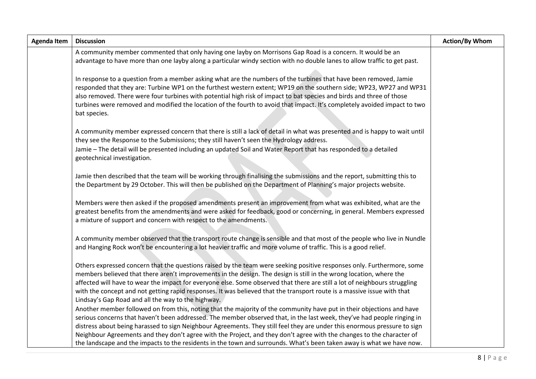| <b>Agenda Item</b> | <b>Discussion</b>                                                                                                                                                                                                                                                                                                                                                                                                                                                                                                                                            | <b>Action/By Whom</b> |
|--------------------|--------------------------------------------------------------------------------------------------------------------------------------------------------------------------------------------------------------------------------------------------------------------------------------------------------------------------------------------------------------------------------------------------------------------------------------------------------------------------------------------------------------------------------------------------------------|-----------------------|
|                    | A community member commented that only having one layby on Morrisons Gap Road is a concern. It would be an<br>advantage to have more than one layby along a particular windy section with no double lanes to allow traffic to get past.                                                                                                                                                                                                                                                                                                                      |                       |
|                    | In response to a question from a member asking what are the numbers of the turbines that have been removed, Jamie<br>responded that they are: Turbine WP1 on the furthest western extent; WP19 on the southern side; WP23, WP27 and WP31<br>also removed. There were four turbines with potential high risk of impact to bat species and birds and three of those<br>turbines were removed and modified the location of the fourth to avoid that impact. It's completely avoided impact to two<br>bat species.                                               |                       |
|                    | A community member expressed concern that there is still a lack of detail in what was presented and is happy to wait until<br>they see the Response to the Submissions; they still haven't seen the Hydrology address.<br>Jamie - The detail will be presented including an updated Soil and Water Report that has responded to a detailed<br>geotechnical investigation.                                                                                                                                                                                    |                       |
|                    | Jamie then described that the team will be working through finalising the submissions and the report, submitting this to<br>the Department by 29 October. This will then be published on the Department of Planning's major projects website.                                                                                                                                                                                                                                                                                                                |                       |
|                    | Members were then asked if the proposed amendments present an improvement from what was exhibited, what are the<br>greatest benefits from the amendments and were asked for feedback, good or concerning, in general. Members expressed<br>a mixture of support and concern with respect to the amendments.                                                                                                                                                                                                                                                  |                       |
|                    | A community member observed that the transport route change is sensible and that most of the people who live in Nundle<br>and Hanging Rock won't be encountering a lot heavier traffic and more volume of traffic. This is a good relief.                                                                                                                                                                                                                                                                                                                    |                       |
|                    | Others expressed concern that the questions raised by the team were seeking positive responses only. Furthermore, some<br>members believed that there aren't improvements in the design. The design is still in the wrong location, where the<br>affected will have to wear the impact for everyone else. Some observed that there are still a lot of neighbours struggling<br>with the concept and not getting rapid responses. It was believed that the transport route is a massive issue with that<br>Lindsay's Gap Road and all the way to the highway. |                       |
|                    | Another member followed on from this, noting that the majority of the community have put in their objections and have                                                                                                                                                                                                                                                                                                                                                                                                                                        |                       |
|                    | serious concerns that haven't been addressed. The member observed that, in the last week, they've had people ringing in                                                                                                                                                                                                                                                                                                                                                                                                                                      |                       |
|                    | distress about being harassed to sign Neighbour Agreements. They still feel they are under this enormous pressure to sign<br>Neighbour Agreements and they don't agree with the Project, and they don't agree with the changes to the character of                                                                                                                                                                                                                                                                                                           |                       |
|                    | the landscape and the impacts to the residents in the town and surrounds. What's been taken away is what we have now.                                                                                                                                                                                                                                                                                                                                                                                                                                        |                       |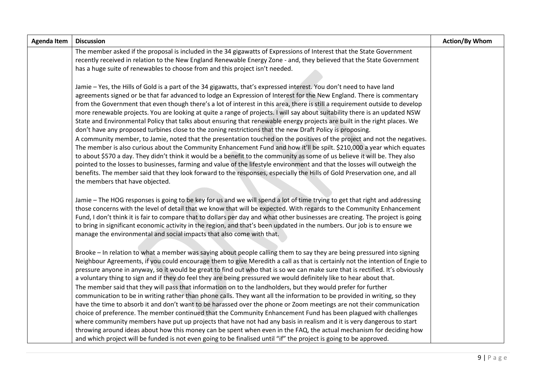| <b>Agenda Item</b> | <b>Discussion</b>                                                                                                                                                                                                                                                                                                                                                                                                                                                                                                                                                                                                                                                                                                                                                                                                                                                                                                                                                                                                                                                                                                                                                                                                                                                                                                                                                                                                                       | <b>Action/By Whom</b> |
|--------------------|-----------------------------------------------------------------------------------------------------------------------------------------------------------------------------------------------------------------------------------------------------------------------------------------------------------------------------------------------------------------------------------------------------------------------------------------------------------------------------------------------------------------------------------------------------------------------------------------------------------------------------------------------------------------------------------------------------------------------------------------------------------------------------------------------------------------------------------------------------------------------------------------------------------------------------------------------------------------------------------------------------------------------------------------------------------------------------------------------------------------------------------------------------------------------------------------------------------------------------------------------------------------------------------------------------------------------------------------------------------------------------------------------------------------------------------------|-----------------------|
|                    | The member asked if the proposal is included in the 34 gigawatts of Expressions of Interest that the State Government                                                                                                                                                                                                                                                                                                                                                                                                                                                                                                                                                                                                                                                                                                                                                                                                                                                                                                                                                                                                                                                                                                                                                                                                                                                                                                                   |                       |
|                    | recently received in relation to the New England Renewable Energy Zone - and, they believed that the State Government<br>has a huge suite of renewables to choose from and this project isn't needed.                                                                                                                                                                                                                                                                                                                                                                                                                                                                                                                                                                                                                                                                                                                                                                                                                                                                                                                                                                                                                                                                                                                                                                                                                                   |                       |
|                    |                                                                                                                                                                                                                                                                                                                                                                                                                                                                                                                                                                                                                                                                                                                                                                                                                                                                                                                                                                                                                                                                                                                                                                                                                                                                                                                                                                                                                                         |                       |
|                    | Jamie - Yes, the Hills of Gold is a part of the 34 gigawatts, that's expressed interest. You don't need to have land<br>agreements signed or be that far advanced to lodge an Expression of Interest for the New England. There is commentary<br>from the Government that even though there's a lot of interest in this area, there is still a requirement outside to develop<br>more renewable projects. You are looking at quite a range of projects. I will say about suitability there is an updated NSW<br>State and Environmental Policy that talks about ensuring that renewable energy projects are built in the right places. We<br>don't have any proposed turbines close to the zoning restrictions that the new Draft Policy is proposing.<br>A community member, to Jamie, noted that the presentation touched on the positives of the project and not the negatives.<br>The member is also curious about the Community Enhancement Fund and how it'll be spilt. \$210,000 a year which equates<br>to about \$570 a day. They didn't think it would be a benefit to the community as some of us believe it will be. They also<br>pointed to the losses to businesses, farming and value of the lifestyle environment and that the losses will outweigh the<br>benefits. The member said that they look forward to the responses, especially the Hills of Gold Preservation one, and all<br>the members that have objected. |                       |
|                    | Jamie - The HOG responses is going to be key for us and we will spend a lot of time trying to get that right and addressing<br>those concerns with the level of detail that we know that will be expected. With regards to the Community Enhancement<br>Fund, I don't think it is fair to compare that to dollars per day and what other businesses are creating. The project is going<br>to bring in significant economic activity in the region, and that's been updated in the numbers. Our job is to ensure we<br>manage the environmental and social impacts that also come with that.                                                                                                                                                                                                                                                                                                                                                                                                                                                                                                                                                                                                                                                                                                                                                                                                                                             |                       |
|                    | Brooke - In relation to what a member was saying about people calling them to say they are being pressured into signing<br>Neighbour Agreements, if you could encourage them to give Meredith a call as that is certainly not the intention of Engie to<br>pressure anyone in anyway, so it would be great to find out who that is so we can make sure that is rectified. It's obviously<br>a voluntary thing to sign and if they do feel they are being pressured we would definitely like to hear about that.<br>The member said that they will pass that information on to the landholders, but they would prefer for further<br>communication to be in writing rather than phone calls. They want all the information to be provided in writing, so they<br>have the time to absorb it and don't want to be harassed over the phone or Zoom meetings are not their communication<br>choice of preference. The member continued that the Community Enhancement Fund has been plagued with challenges<br>where community members have put up projects that have not had any basis in realism and it is very dangerous to start<br>throwing around ideas about how this money can be spent when even in the FAQ, the actual mechanism for deciding how<br>and which project will be funded is not even going to be finalised until "if" the project is going to be approved.                                                           |                       |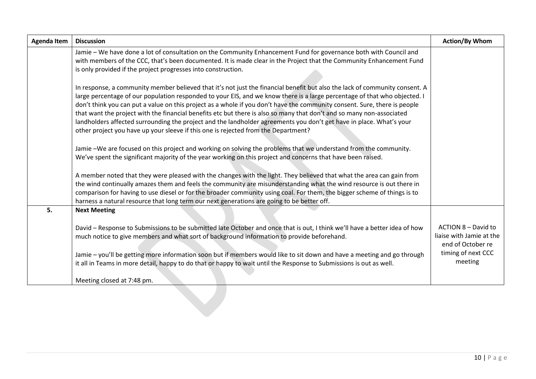| <b>Agenda Item</b> | <b>Discussion</b>                                                                                                                                                                                                                                                                                                                                                                                                                                                                                                                                                                                                                                                                                                           | <b>Action/By Whom</b>                                                |
|--------------------|-----------------------------------------------------------------------------------------------------------------------------------------------------------------------------------------------------------------------------------------------------------------------------------------------------------------------------------------------------------------------------------------------------------------------------------------------------------------------------------------------------------------------------------------------------------------------------------------------------------------------------------------------------------------------------------------------------------------------------|----------------------------------------------------------------------|
|                    | Jamie - We have done a lot of consultation on the Community Enhancement Fund for governance both with Council and<br>with members of the CCC, that's been documented. It is made clear in the Project that the Community Enhancement Fund<br>is only provided if the project progresses into construction.                                                                                                                                                                                                                                                                                                                                                                                                                  |                                                                      |
|                    | In response, a community member believed that it's not just the financial benefit but also the lack of community consent. A<br>large percentage of our population responded to your EIS, and we know there is a large percentage of that who objected. I<br>don't think you can put a value on this project as a whole if you don't have the community consent. Sure, there is people<br>that want the project with the financial benefits etc but there is also so many that don't and so many non-associated<br>landholders affected surrounding the project and the landholder agreements you don't get have in place. What's your<br>other project you have up your sleeve if this one is rejected from the Department? |                                                                      |
|                    | Jamie -We are focused on this project and working on solving the problems that we understand from the community.<br>We've spent the significant majority of the year working on this project and concerns that have been raised.                                                                                                                                                                                                                                                                                                                                                                                                                                                                                            |                                                                      |
|                    | A member noted that they were pleased with the changes with the light. They believed that what the area can gain from<br>the wind continually amazes them and feels the community are misunderstanding what the wind resource is out there in<br>comparison for having to use diesel or for the broader community using coal. For them, the bigger scheme of things is to<br>harness a natural resource that long term our next generations are going to be better off.                                                                                                                                                                                                                                                     |                                                                      |
| 5.                 | <b>Next Meeting</b>                                                                                                                                                                                                                                                                                                                                                                                                                                                                                                                                                                                                                                                                                                         |                                                                      |
|                    | David - Response to Submissions to be submitted late October and once that is out, I think we'll have a better idea of how<br>much notice to give members and what sort of background information to provide beforehand.                                                                                                                                                                                                                                                                                                                                                                                                                                                                                                    | ACTION 8 - David to<br>liaise with Jamie at the<br>end of October re |
|                    | Jamie - you'll be getting more information soon but if members would like to sit down and have a meeting and go through<br>it all in Teams in more detail, happy to do that or happy to wait until the Response to Submissions is out as well.                                                                                                                                                                                                                                                                                                                                                                                                                                                                              | timing of next CCC<br>meeting                                        |
|                    | Meeting closed at 7:48 pm.                                                                                                                                                                                                                                                                                                                                                                                                                                                                                                                                                                                                                                                                                                  |                                                                      |
|                    |                                                                                                                                                                                                                                                                                                                                                                                                                                                                                                                                                                                                                                                                                                                             |                                                                      |